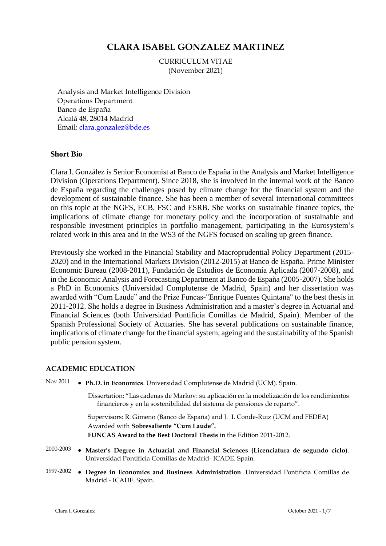# **CLARA ISABEL GONZALEZ MARTINEZ**

CURRICULUM VITAE (November 2021)

Analysis and Market Intelligence Division Operations Department Banco de España Alcalá 48, 28014 Madrid Email: [clara.gonzalez@bde.es](mailto:clara.gonzalez@bde.es)

# **Short Bio**

Clara I. González is Senior Economist at Banco de España in the Analysis and Market Intelligence Division (Operations Department). Since 2018, she is involved in the internal work of the Banco de España regarding the challenges posed by climate change for the financial system and the development of sustainable finance. She has been a member of several international committees on this topic at the NGFS, ECB, FSC and ESRB. She works on sustainable finance topics, the implications of climate change for monetary policy and the incorporation of sustainable and responsible investment principles in portfolio management, participating in the Eurosystem's related work in this area and in the WS3 of the NGFS focused on scaling up green finance.

Previously she worked in the Financial Stability and Macroprudential Policy Department (2015- 2020) and in the International Markets Division (2012-2015) at Banco de España. Prime Minister Economic Bureau (2008-2011), Fundación de Estudios de Economía Aplicada (2007-2008), and in the Economic Analysis and Forecasting Department at Banco de España (2005-2007). She holds a PhD in Economics (Universidad Complutense de Madrid, Spain) and her dissertation was awarded with "Cum Laude" and the Prize Funcas-"Enrique Fuentes Quintana" to the best thesis in 2011-2012. She holds a degree in Business Administration and a master's degree in Actuarial and Financial Sciences (both Universidad Pontificia Comillas de Madrid, Spain). Member of the Spanish Professional Society of Actuaries. She has several publications on sustainable finance, implications of climate change for the financial system, ageing and the sustainability of the Spanish public pension system.

# **ACADEMIC EDUCATION**

| Nov 2011  | • Ph.D. in Economics. Universidad Complutense de Madrid (UCM). Spain.                                                                                                  |  |  |  |
|-----------|------------------------------------------------------------------------------------------------------------------------------------------------------------------------|--|--|--|
|           | Dissertation: "Las cadenas de Markov: su aplicación en la modelización de los rendimientos<br>financieros y en la sostenibilidad del sistema de pensiones de reparto". |  |  |  |
|           | Supervisors: R. Gimeno (Banco de España) and J. I. Conde-Ruiz (UCM and FEDEA)<br>Awarded with Sobresaliente "Cum Laude".                                               |  |  |  |
|           | <b>FUNCAS Award to the Best Doctoral Thesis in the Edition 2011-2012.</b>                                                                                              |  |  |  |
| 2000-2003 | • Master's Degree in Actuarial and Financial Sciences (Licenciatura de segundo ciclo).<br>Universidad Pontificia Comillas de Madrid-ICADE. Spain.                      |  |  |  |
| 1997-2002 | • Degree in Economics and Business Administration. Universidad Pontificia Comillas de<br>Madrid - ICADE. Spain.                                                        |  |  |  |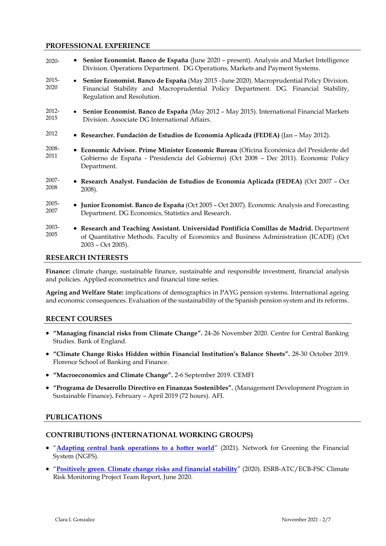## **PROFESSIONAL EXPERIENCE**

| $2020 -$                                                                                                 | • Senior Economist. Banco de España (June 2020 – present). Analysis and Market Intelligence<br>Division. Operations Department. DG Operations, Markets and Payment Systems.                                       |  |  |
|----------------------------------------------------------------------------------------------------------|-------------------------------------------------------------------------------------------------------------------------------------------------------------------------------------------------------------------|--|--|
| 2015-<br>2020                                                                                            | • Senior Economist. Banco de España (May 2015 - June 2020). Macroprudential Policy Division.<br>Financial Stability and Macroprudential Policy Department. DG. Financial Stability,<br>Regulation and Resolution. |  |  |
| 2012-<br>2015                                                                                            | • Senior Economist. Banco de España (May 2012 – May 2015). International Financial Markets<br>Division. Associate DG International Affairs.                                                                       |  |  |
| 2012                                                                                                     | • Researcher. Fundación de Estudios de Economía Aplicada (FEDEA) (Jan - May 2012).                                                                                                                                |  |  |
| 2008-<br>2011                                                                                            | • Economic Advisor. Prime Minister Economic Bureau (Oficina Económica del Presidente del<br>Gobierno de España - Presidencia del Gobierno) (Oct 2008 - Dec 2011). Economic Policy<br>Department.                  |  |  |
| 2007-<br>2008                                                                                            | • Research Analyst. Fundación de Estudios de Economía Aplicada (FEDEA) (Oct 2007 - Oct<br>2008).                                                                                                                  |  |  |
| 2005-<br>2007                                                                                            | • Junior Economist. Banco de España (Oct 2005 – Oct 2007). Economic Analysis and Forecasting<br>Department. DG Economics, Statistics and Research.                                                                |  |  |
| 2003-<br>2005                                                                                            | • Research and Teaching Assistant. Universidad Pontificia Comillas de Madrid. Department<br>of Quantitative Methods. Faculty of Economics and Business Administration (ICADE) (Oct<br>2003 - Oct 2005).           |  |  |
| <b>RESEARCH INTERESTS</b>                                                                                |                                                                                                                                                                                                                   |  |  |
| Finance: climate change, sustainable finance, sustainable and responsible investment, financial analysis |                                                                                                                                                                                                                   |  |  |

and policies. Applied econometrics and financial time series.

**Ageing and Welfare State:** implications of demographics in PAYG pension systems. International ageing and economic consequences. Evaluation of the sustainability of the Spanish pension system and its reforms.

# **RECENT COURSES**

- **"Managing financial risks from Climate Change".** 24-26 November 2020. Centre for Central Banking Studies. Bank of England.
- **"Climate Change Risks Hidden within Financial Institution's Balance Sheets".** 28-30 October 2019. Florence School of Banking and Finance.
- **"Macroeconomics and Climate Change".** 2-6 September 2019. CEMFI
- **"Programa de Desarrollo Directivo en Finanzas Sostenibles".** (Management Development Program in Sustainable Finance)**.** February – April 2019 (72 hours). AFI.

# **PUBLICATIONS**

# **CONTRIBUTIONS (INTERNATIONAL WORKING GROUPS)**

- "**[Adapting central bank operations to a hotter world](https://www.ngfs.net/sites/default/files/medias/documents/ngfs_monetary_policy_operations_final.pdf)**" (2021). Network for Greening the Financial System (NGFS).
- "**[Positively green. Climate change risks and financial stability](https://www.esrb.europa.eu/pub/pdf/reports/esrb.report200608_on_Positively_green_-_Measuring_climate_change_risks_to_financial_stability~d903a83690.en.pdf?c5d033aa3c648ca0623f5a2306931e26)**" (2020). ESRB-ATC/ECB-FSC Climate Risk Monitoring Project Team Report, June 2020.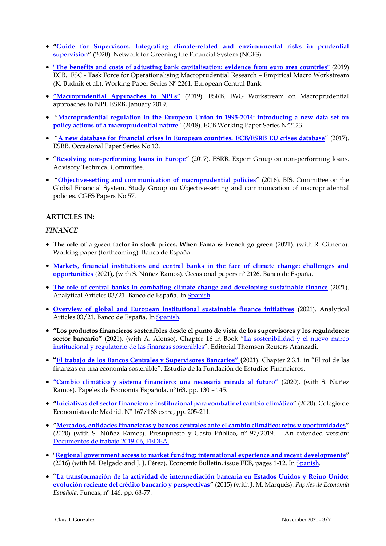- **"[Guide for Supervisors. Integrating climate-related and environmental risks in prudential](https://www.ngfs.net/sites/default/files/medias/documents/ngfs_guide_for_supervisors.pdf)  [supervision](https://www.ngfs.net/sites/default/files/medias/documents/ngfs_guide_for_supervisors.pdf)"** (2020). Network for Greening the Financial System (NGFS).
- **["The benefits and costs of adjusting bank capitalisation: evidence from euro area countries"](https://www.ecb.europa.eu/pub/pdf/scpwps/ecb.wp2261~dee6172f78.en.pdf)** (2019) ECB. FSC - Task Force for Operationalising Macroprudential Research – Empirical Macro Workstream (K. Budnik et al.). Working Paper Series Nº 2261, European Central Bank.
- **["Macroprudential Approaches to NPLs"](https://www.esrb.europa.eu/pub/pdf/reports/esrb.report190128_macropudentialapproachestonon-performingloans.en.pdf)** (2019). ESRB. IWG Workstream on Macroprudential approaches to NPL ESRB, January 2019.
- **"[Macroprudential regulation in the European Union in 1995-2014: introducing a new data set on](https://www.ecb.europa.eu/pub/pdf/scpwps/ecb.wp2123.en.pdf)  [policy actions of a macroprudential nature](https://www.ecb.europa.eu/pub/pdf/scpwps/ecb.wp2123.en.pdf)**" (2018). ECB Working Paper Series Nº2123.
- "**[A new database for financial crises in European countries. ECB/ESRB EU crises database](https://www.esrb.europa.eu/pub/pdf/occasional/esrb.op13.en.pdf?c79e7fcd59daca7c422b3e1cbcc01ec6)**" (2017). ESRB. Occasional Paper Series No 13.
- "**[Resolving non-performing loans in Europe](https://www.esrb.europa.eu/pub/pdf/reports/20170711_resolving_npl_report.en.pdf)**" (2017). ESRB. Expert Group on non-performing loans. Advisory Technical Committee.
- "**[Objective-setting and communication of macroprudential policies](https://www.bis.org/publ/cgfs57.pdf)**" (2016). BIS. Committee on the Global Financial System. Study Group on Objective-setting and communication of macroprudential policies. CGFS Papers No 57.

# **ARTICLES IN:**

## *FINANCE*

- **The role of a green factor in stock prices. When Fama & French go green** (2021). (with R. Gimeno). Working paper (forthcoming). Banco de España.
- **[Markets, financial institutions and central banks in the face of climate change: challenges and](https://www.bde.es/f/webbde/SES/Secciones/Publicaciones/PublicacionesSeriadas/DocumentosOcasionales/21/Files/do2126e.pdf)  [opportunities](https://www.bde.es/f/webbde/SES/Secciones/Publicaciones/PublicacionesSeriadas/DocumentosOcasionales/21/Files/do2126e.pdf)** (2021), (with S. Núñez Ramos). Occasional papers nº 2126. Banco de España.
- **[The role of central banks in combating climate change and developing sustainable finance](https://www.bde.es/f/webbde/SES/Secciones/Publicaciones/InformesBoletinesRevistas/ArticulosAnaliticos/21/T3/Files/be2103-art31e.pdf)** (2021). Analytical Articles 03/21. Banco de España. I[n Spanish.](https://www.bde.es/f/webbde/SES/Secciones/Publicaciones/InformesBoletinesRevistas/ArticulosAnaliticos/21/T3/Fich/be2103-art31.pdf)
- **[Overview of global and European institutional sustainable finance initiatives](https://www.bde.es/f/webbde/SES/Secciones/Publicaciones/InformesBoletinesRevistas/ArticulosAnaliticos/21/T3/Files/be2103-art30e.pdf)** (2021). Analytical Articles 03/21. Banco de España. I[n Spanish.](https://www.bde.es/f/webbde/SES/Secciones/Publicaciones/InformesBoletinesRevistas/ArticulosAnaliticos/21/T3/Fich/be2103-art30.pdf)
- **"Los productos financieros sostenibles desde el punto de vista de los supervisores y los reguladores:**  sector bancario" (2021), (with A. Alonso). Chapter 16 in Book "La sostenibilidad y el nuevo marco [institucional y regulatorio de las finanzas sostenibles](https://www.thomsonreuters.es/es/tienda/duo-papel-ebook/la-sostenibilidad-y-el-nuevo-marco-institucional-y-regulatorio-de-las-finanzas-sosteniblesduo/p/10017742)". Editorial Thomson Reuters Aranzadi.
- "**[El trabajo de los Bancos Centrales y Supervisores Bancarios"](https://www.ieaf.es/images/FEF-FORO/articulos/7_El_trabajo_de_Bancos_Centrales_y_supervisores_bancarios.pdf)** (2021). Chapter 2.3.1. in "El rol de las finanzas en una economía sostenible". Estudio de la Fundación de Estudios Financieros.
- **"[Cambio climático y sistema financiero:](https://www.funcas.es/wp-content/uploads/Migracion/Articulos/FUNCAS_PEE/163art12.pdf) una necesaria mirada al futuro"** (2020). (with S. Núñez Ramos). Papeles de Economía Española, nº163, pp. 130 – 145.
- **"[Iniciativas del sector financiero e institucional para combatir el cambio climático](https://privado.cemad.es/revistas/online/Revistas/Economistas-167-168-extra.pdf/173)"** (2020). Colegio de Economistas de Madrid. Nº 167/168 extra, pp. 205-211.
- **"[Mercados, entidades financieras y bancos centrales ante el cambio climático: retos y oportunidades](https://www.ief.es/docs/destacados/publicaciones/revistas/pgp/97_12.pdf)"** (2020) (with S. Núñez Ramos). Presupuesto y Gasto Público,  $n^{\circ}$  97/2019. – An extended versión: [Documentos de trabajo 2019-06, FEDEA.](https://documentos.fedea.net/pubs/dt/2019/dt2019-06.pdf)
- **["Regional government access to market funding: international experience and recent developments](http://www.bde.es/f/webbde/SES/Secciones/Publicaciones/InformesBoletinesRevistas/BoletinEconomico/descargar/16/Feb/Files/be1602-art1e.pdf)"**  (2016) (with M. Delgado and J. J. Pérez). Economic Bulletin, issue FEB, pages 1-12. In [Spanish.](http://www.bde.es/f/webbde/SES/Secciones/Publicaciones/InformesBoletinesRevistas/BoletinEconomico/descargar/16/Feb/Fich/be1602-art3.pdf)
- "**[La transformación de la actividad de intermediación bancaria en Estados Unidos y Reino Unido:](https://www.funcas.es/wp-content/uploads/Migracion/Articulos/FUNCAS_PEE/146art06.pdf)  [evolución reciente del crédito bancario y perspectivas](https://www.funcas.es/wp-content/uploads/Migracion/Articulos/FUNCAS_PEE/146art06.pdf)"** (2015) (with J. M. Marqués). *Papeles de Economía Española*, Funcas, nº 146, pp. 68-77.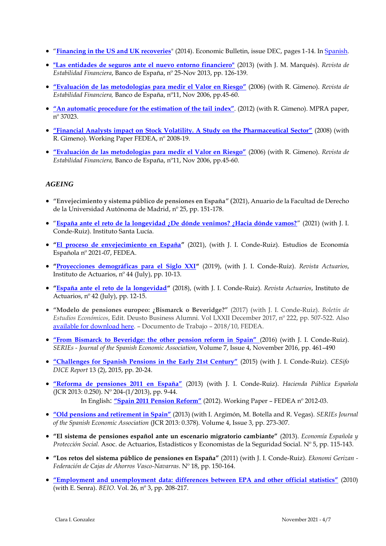- "**[Financing in the US and UK recoveries](http://www.bde.es/f/webbde/SES/Secciones/Publicaciones/InformesBoletinesRevistas/BoletinEconomico/14/Dic/Files/be1412-art2e.pdf)**" (2014). Economic Bulletin, issue DEC, pages 1-14. In [Spanish.](https://www.bde.es/f/webbde/SES/Secciones/Publicaciones/InformesBoletinesRevistas/BoletinEconomico/14/Nov/Fich/be1411-art7.pdf)
- **["Las entidades de seguros ante el nuevo entorno financiero"](http://www.bde.es/f/webbde/GAP/Secciones/Publicaciones/InformesBoletinesRevistas/RevistaEstabilidadFinanciera/13/Noviembre/Fic/ref20132535.pdf)** (2013) (with J. M. Marqués). *Revista de Estabilidad Financiera*, Banco de España, nº 25-Nov 2013, pp. 126-139.
- **["Evaluación de las metodologías para medir](http://www.bde.es/f/webbde/Secciones/Publicaciones/InformesBoletinesRevistas/RevistaEstabilidadFinanciera/06/Fic/IEFnov06.pdf) el Valor en Riesgo"** (2006) (with R. Gimeno). *Revista de Estabilidad Financiera,* Banco de España, nº11, Nov 2006, pp.45-60.
- **["An automatic procedure for the estimation of the tail index"](http://mpra.ub.uni-muenchen.de/37023/2/MPRA_paper_37023.pdf)**. (2012) (with R. Gimeno). MPRA paper, nº 37023.
- **["Financial Analysts impact on Stock Volatility. A Study on the Pharmaceutical Sector"](http://documentos.fedea.net/pubs/dt/2008/dt-2008-19.pdf)** (2008) (with R. Gimeno). Working Paper FEDEA, nº 2008-19.
- **["Evaluación de las metodologías para medir el Valor en Riesgo"](http://www.bde.es/f/webbde/Secciones/Publicaciones/InformesBoletinesRevistas/RevistaEstabilidadFinanciera/06/Fic/IEFnov06.pdf)** (2006) (with R. Gimeno). *Revista de Estabilidad Financiera,* Banco de España, nº11, Nov 2006, pp.45-60.

# *AGEING*

- **"Envejecimiento y sistema público de pensiones en España"** (2021), Anuario de la Facultad de Derecho de la Universidad Autónoma de Madrid, nº 25, pp. 151-178.
- "**[España ante el reto de la longevidad ¿De dónde venimos? ¿Hacia dónde vamos?](https://institutosantalucia.es/wp-content/uploads/2021/10/informe_reto_longevidad.pdf)**" (2021) (with J. I. Conde-Ruiz). Instituto Santa Lucía.
- **"[El proceso de envejecimiento en España](https://documentos.fedea.net/pubs/eee/eee2021-07.pdf)"** (2021), (with J. I. Conde-Ruiz). Estudios de Economía Española nº 2021-07, FEDEA.
- **"[Proyecciones demográficas para el Siglo XXI](https://www.actuarios.org/wp-content/uploads/2019/07/Revista-ACTUARIOS-44_low.pdf)"** (2019), (with J. I. Conde-Ruiz). *Revista Actuarios*, Instituto de Actuarios, nº 44 (July), pp. 10-13.
- **"[España ante el reto de la longevidad](https://www.actuarios.org/wp-content/uploads/2018/07/ACTUARIOS-42.pdf)"** (2018), (with J. I. Conde-Ruiz). *Revista Actuarios*, Instituto de Actuarios,  $n^{\circ}$  42 (July), pp. 12-15.
- **"Modelo de pensiones europeo: ¿Bismarck o Beveridge?"** (2017) (with J. I. Conde-Ruiz). *Boletín de Estudios Económicos*, Edit. Deusto Business Alumni. Vol LXXII December 2017, nº 222, pp. 507-522. Also available [for download here.](https://www.fedea.net/documentos/pubs/dt/2018/dt2018-01.pdf) – Documento de Trabajo – 2018/10, FEDEA.
- **["From Bismarck to Beveridge: the other pension reform in Spain"](https://link.springer.com/article/10.1007/s13209-016-0148-3)** (2016) (with J. I. Conde-Ruiz). *SERIEs - Journal of the Spanish Economic Association*, Volume 7, Issue 4, November 2016, pp. 461–490
- **["Challenges for Spanish Pensions in the Early 21st Century"](http://www.cesifo-group.de/ifoHome/publications/docbase/details.html?docId=19166291)** (2015) (with J. I. Conde-Ruiz). *CESifo DICE Report* 13 (2), 2015, pp. 20-24.
- **["Reforma de pensiones 2011 en España"](http://www.ief.es/documentos/recursos/publicaciones/revistas/hac_pub/204_Art01.pdf)** (2013) (with J. I. Conde-Ruiz). *Hacienda Pública Española* (JCR 2013: 0.250). Nº 204-(1/2013), pp. 9-44. In English: **["Spain 2011 Pension Reform"](http://documentos.fedea.net/pubs/dt/2012/dt-2012-03.pdf)** (2012). Working Paper – FEDEA nº 2012-03.
- **["Old pensions and retirement in Spain"](http://link.springer.com/article/10.1007/s13209-013-0096-0)** (2013) (with I. Argimón, M. Botella and R. Vegas). *SERIEs Journal of the Spanish Economic Association* (JCR 2013: 0.378). Volume 4, Issue 3, pp. 273-307.
- **"El sistema de pensiones español ante un escenario migratorio cambiante"** (2013). *Economía Española y Protección Social.* Asoc. de Actuarios, Estadísticos y Economistas de la Seguridad Social. Nº 5, pp. 115-143.
- **"Los retos del sistema público de pensiones en España"** (2011) (with J. I. Conde-Ruiz). *Ekonomi Gerizan - Federación de Cajas de Ahorros Vasco-Navarras*. Nº 18, pp. 150-164.
- **"Employment and unemployment [data: differences between EPA and other official statistics"](http://www.seio.es/BEIO/files/BEIOVol26Num3_EO_CGonzalez+ESenra.pdf)** (2010) (with E. Senra). *BEIO.* Vol. 26, nº 3, pp. 208-217.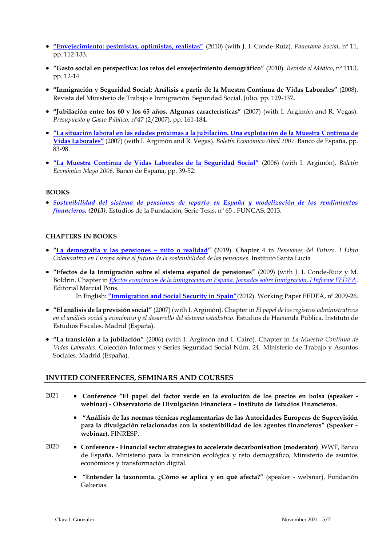- **["Envejecimiento: pesimistas, optimistas, realistas"](https://ideas.repec.org/p/fda/fdacee/10-2010.html)** (2010) (with J. I. Conde-Ruiz). *Panorama Social*, nº 11, pp. 112-133.
- **"Gasto social en perspectiva: los retos del envejecimiento demográfico"** (2010). *Revista el Médico*, nº 1113, pp. 12-14.
- **"Inmigración y Seguridad Social: Análisis a partir de la Muestra Continua de Vidas Laborales"** (2008). Revista del Ministerio de Trabajo e Inmigración. Seguridad Social. Julio. pp. 129-137**.**
- **"Jubilación entre los 60 y los 65 años. Algunas características"** (2007) (with I. Argimón and R. Vegas). *Presupuesto y Gasto Público*, nº47 (2/2007), pp. 161-184.
- **["La situación laboral en las edades próximas a la jubilación. Una explotación de la Muestra](http://www.bde.es/f/webbde/SES/Secciones/Publicaciones/InformesBoletinesRevistas/BoletinEconomico/07/Abr/Fich/art3.pdf) Continua de [Vidas Laborales"](http://www.bde.es/f/webbde/SES/Secciones/Publicaciones/InformesBoletinesRevistas/BoletinEconomico/07/Abr/Fich/art3.pdf)** (2007) (with I. Argimón and R. Vegas). *Boletín Económico Abril 2007.* Banco de España, pp. 83-98.
- **["La Muestra Continua de Vidas Laborales de la Seguridad Social"](http://www.bde.es/f/webbde/SES/Secciones/Publicaciones/InformesBoletinesRevistas/BoletinEconomico/06/May/Fich/art3.pdf)** (2006) (with I. Argimón). *Boletín Económico Mayo 2006,* Banco de España, pp. 39-52.

#### **BOOKS**

 *[Sostenibilidad del sistema de pensiones de reparto en España y modelización de los rendimientos](https://www.funcas.es/libro/sostenibilidad-del-sistema-de-pensiones-de-reparto-en-espana-y-modelizacion-de-los-rendimientos-financieros-noviembre-2013/)  [financieros.](https://www.funcas.es/libro/sostenibilidad-del-sistema-de-pensiones-de-reparto-en-espana-y-modelizacion-de-los-rendimientos-financieros-noviembre-2013/) (2013)*. Estudios de la Fundación, Serie Tesis, nº 65 . FUNCAS, 2013.

#### **CHAPTERS IN BOOKS**

- **"[La demografía y las pensiones](https://institutosantalucia.es/importancia-de-las-proyecciones-demograficas-en-las-pensiones/) – mito o realidad" (**2019). Chapter 4 in *Pensiones del Futuro. I Libro Colaborativo en Europa sobre el futuro de la sostenibilidad de las pensiones.* Instituto Santa Lucía
- **"Efectos de la Inmigración sobre el sistema español de pensiones"** (2009) (with J. I. Conde-Ruiz y M. Boldrin. Chapter in *[Efectos económicos de la inmigración en España. Jornadas sobre Inmigración, I Informe FEDEA.](https://www.marcialpons.es/media/pdf/100847694.pdf)* Editorial Marcial Pons.

In English: **["Immigration and Social Security in Spain"](http://documentos.fedea.net/pubs/dt/2009/dt-2009-26.pdf)**(2012). Working Paper FEDEA, nº 2009-26.

- **"El análisis de la previsión social"** (2007) (with I. Argimón). Chapter in *El papel de los registros administrativos en el análisis social y económico y el desarrollo del sistema estadístico*. Estudios de Hacienda Pública. Instituto de Estudios Fiscales. Madrid (España).
- **"La transición a la jubilación"** (2006) (with I. Argimón and I. Cairó). Chapter in *La Muestra Continua de Vidas Laborales*. Colección Informes y Series Seguridad Social Núm. 24. Ministerio de Trabajo y Asuntos Sociales. Madrid (España).

# **INVITED CONFERENCES, SEMINARS AND COURSES**

- 2021 **Conference "El papel del factor verde en la evolución de los precios en bolsa (speaker webinar) - Observatorio de Divulgación Financiera – Instituto de Estudios Financieros.**
	- **"Análisis de las normas técnicas reglamentarias de las Autoridades Europeas de Supervisión para la divulgación relacionadas con la sostenibilidad de los agentes financieros" (Speaker – webinar).** FINRESP.
- 2020 **Conference - Financial sector strategies to accelerate decarbonisation (moderator)**. WWF, Banco de España, Ministerio para la transición ecológica y reto demográfico, Ministerio de asuntos económicos y transformación digital.
	- **"Entender la taxonomía. ¿Cómo se aplica y en qué afecta?"** (speaker webinar). Fundación Gaberias.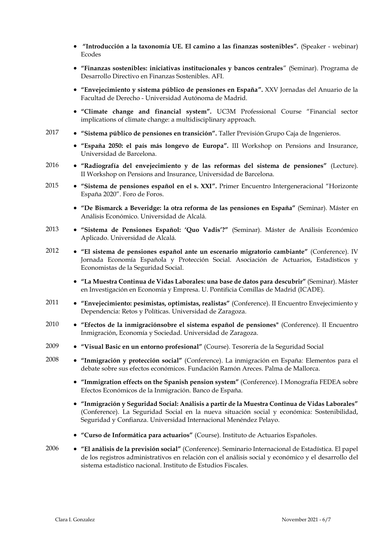- **"Introducción a la taxonomía UE. El camino a las finanzas sostenibles".** (Speaker webinar) Ecodes
- **"Finanzas sostenibles: iniciativas institucionales y bancos centrales**" (Seminar). Programa de Desarrollo Directivo en Finanzas Sostenibles. AFI.
- **"Envejecimiento y sistema público de pensiones en España".** XXV Jornadas del Anuario de la Facultad de Derecho - Universidad Autónoma de Madrid.
- **"Climate change and financial system".** UC3M Professional Course "Financial sector implications of climate change: a multidisciplinary approach.
- 2017 **"Sistema público de pensiones en transición".** Taller Previsión Grupo Caja de Ingenieros.
	- **"España 2050: el país más longevo de Europa".** III Workshop on Pensions and Insurance, Universidad de Barcelona.
- 2016 **"Radiografía del envejecimiento y de las reformas del sistema de pensiones"** (Lecture). II Workshop on Pensions and Insurance, Universidad de Barcelona.
- 2015 **"Sistema de pensiones español en el s. XXI".** Primer Encuentro Intergeneracional "Horizonte España 2020". Foro de Foros.
	- **"De Bismarck a Beveridge: la otra reforma de las pensiones en España"** (Seminar). Máster en Análisis Económico. Universidad de Alcalá.
- 2013 **"Sistema de Pensiones Español: 'Quo Vadis'?"** (Seminar). Máster de Análisis Económico Aplicado. Universidad de Alcalá.
- 2012 **"El sistema de pensiones español ante un escenario migratorio cambiante"** (Conference). IV Jornada Economía Española y Protección Social. Asociación de Actuarios, Estadísticos y Economistas de la Seguridad Social.
	- **"La Muestra Continua de Vidas Laborales: una base de datos para descubrir"** (Seminar). Máster en Investigación en Economía y Empresa. U. Pontificia Comillas de Madrid (ICADE).
- 2011 **"Envejecimiento: pesimistas, optimistas, realistas"** (Conference). II Encuentro Envejecimiento y Dependencia: Retos y Políticas. Universidad de Zaragoza.
- 2010 **"Efectos de la inmigraciónsobre el sistema español de pensiones"** (Conference). II Encuentro Inmigración, Economía y Sociedad. Universidad de Zaragoza.
- 2009 **"Visual Basic en un entorno profesional"** (Course). Tesorería de la Seguridad Social
- 2008 **"Inmigración y protección social"** (Conference). La inmigración en España: Elementos para el debate sobre sus efectos económicos. Fundación Ramón Areces. Palma de Mallorca.
	- **"Immigration effects on the Spanish pension system"** (Conference). I Monografía FEDEA sobre Efectos Económicos de la Inmigración. Banco de España.
	- **"Inmigración y Seguridad Social: Análisis a partir de la Muestra Continua de Vidas Laborales"**  (Conference). La Seguridad Social en la nueva situación social y económica: Sostenibilidad, Seguridad y Confianza. Universidad Internacional Menéndez Pelayo.
	- **"Curso de Informática para actuarios"** (Course). Instituto de Actuarios Españoles.

2006 **"El análisis de la previsión social"** (Conference). Seminario Internacional de Estadística. El papel de los registros administrativos en relación con el análisis social y económico y el desarrollo del sistema estadístico nacional. Instituto de Estudios Fiscales.